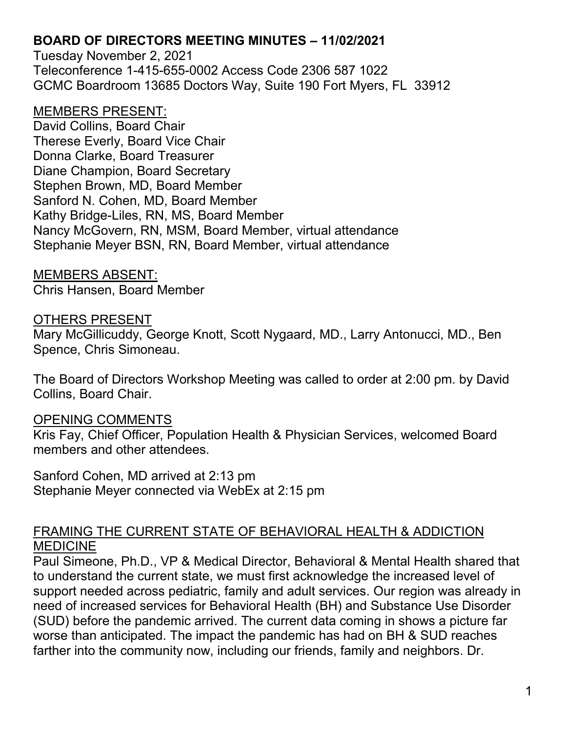Tuesday November 2, 2021 Teleconference 1-415-655-0002 Access Code 2306 587 1022 GCMC Boardroom 13685 Doctors Way, Suite 190 Fort Myers, FL 33912

### MEMBERS PRESENT:

David Collins, Board Chair Therese Everly, Board Vice Chair Donna Clarke, Board Treasurer Diane Champion, Board Secretary Stephen Brown, MD, Board Member Sanford N. Cohen, MD, Board Member Kathy Bridge-Liles, RN, MS, Board Member Nancy McGovern, RN, MSM, Board Member, virtual attendance Stephanie Meyer BSN, RN, Board Member, virtual attendance

MEMBERS ABSENT: Chris Hansen, Board Member

### OTHERS PRESENT

Mary McGillicuddy, George Knott, Scott Nygaard, MD., Larry Antonucci, MD., Ben Spence, Chris Simoneau.

The Board of Directors Workshop Meeting was called to order at 2:00 pm. by David Collins, Board Chair.

### OPENING COMMENTS

Kris Fay, Chief Officer, Population Health & Physician Services, welcomed Board members and other attendees.

Sanford Cohen, MD arrived at 2:13 pm Stephanie Meyer connected via WebEx at 2:15 pm

### FRAMING THE CURRENT STATE OF BEHAVIORAL HEALTH & ADDICTION MEDICINE

Paul Simeone, Ph.D., VP & Medical Director, Behavioral & Mental Health shared that to understand the current state, we must first acknowledge the increased level of support needed across pediatric, family and adult services. Our region was already in need of increased services for Behavioral Health (BH) and Substance Use Disorder (SUD) before the pandemic arrived. The current data coming in shows a picture far worse than anticipated. The impact the pandemic has had on BH & SUD reaches farther into the community now, including our friends, family and neighbors. Dr.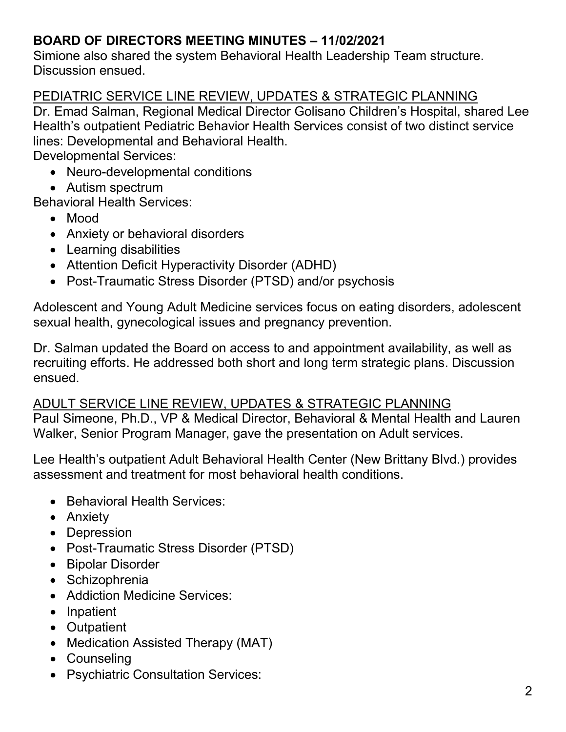Simione also shared the system Behavioral Health Leadership Team structure. Discussion ensued.

### PEDIATRIC SERVICE LINE REVIEW, UPDATES & STRATEGIC PLANNING

Dr. Emad Salman, Regional Medical Director Golisano Children's Hospital, shared Lee Health's outpatient Pediatric Behavior Health Services consist of two distinct service lines: Developmental and Behavioral Health.

Developmental Services:

- Neuro-developmental conditions
- Autism spectrum

Behavioral Health Services:

- Mood
- Anxiety or behavioral disorders
- Learning disabilities
- Attention Deficit Hyperactivity Disorder (ADHD)
- Post-Traumatic Stress Disorder (PTSD) and/or psychosis

Adolescent and Young Adult Medicine services focus on eating disorders, adolescent sexual health, gynecological issues and pregnancy prevention.

Dr. Salman updated the Board on access to and appointment availability, as well as recruiting efforts. He addressed both short and long term strategic plans. Discussion ensued.

# ADULT SERVICE LINE REVIEW, UPDATES & STRATEGIC PLANNING

Paul Simeone, Ph.D., VP & Medical Director, Behavioral & Mental Health and Lauren Walker, Senior Program Manager, gave the presentation on Adult services.

Lee Health's outpatient Adult Behavioral Health Center (New Brittany Blvd.) provides assessment and treatment for most behavioral health conditions.

- Behavioral Health Services:
- Anxiety
- Depression
- Post-Traumatic Stress Disorder (PTSD)
- Bipolar Disorder
- Schizophrenia
- Addiction Medicine Services:
- Inpatient
- Outpatient
- Medication Assisted Therapy (MAT)
- Counseling
- Psychiatric Consultation Services: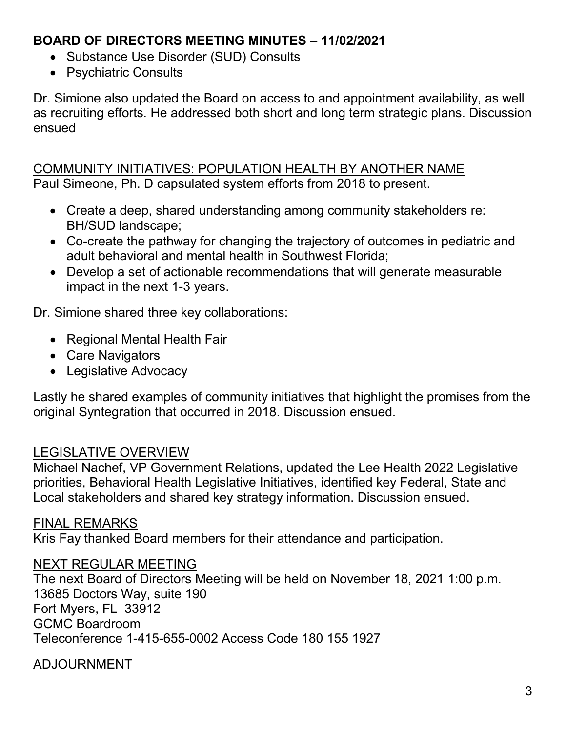- Substance Use Disorder (SUD) Consults
- Psychiatric Consults

Dr. Simione also updated the Board on access to and appointment availability, as well as recruiting efforts. He addressed both short and long term strategic plans. Discussion ensued

COMMUNITY INITIATIVES: POPULATION HEALTH BY ANOTHER NAME Paul Simeone, Ph. D capsulated system efforts from 2018 to present.

- Create a deep, shared understanding among community stakeholders re: BH/SUD landscape;
- Co-create the pathway for changing the trajectory of outcomes in pediatric and adult behavioral and mental health in Southwest Florida;
- Develop a set of actionable recommendations that will generate measurable impact in the next 1-3 years.

Dr. Simione shared three key collaborations:

- Regional Mental Health Fair
- Care Navigators
- Legislative Advocacy

Lastly he shared examples of community initiatives that highlight the promises from the original Syntegration that occurred in 2018. Discussion ensued.

# LEGISLATIVE OVERVIEW

Michael Nachef, VP Government Relations, updated the Lee Health 2022 Legislative priorities, Behavioral Health Legislative Initiatives, identified key Federal, State and Local stakeholders and shared key strategy information. Discussion ensued.

## FINAL REMARKS

Kris Fay thanked Board members for their attendance and participation.

## NEXT REGULAR MEETING

The next Board of Directors Meeting will be held on November 18, 2021 1:00 p.m. 13685 Doctors Way, suite 190 Fort Myers, FL 33912 GCMC Boardroom Teleconference 1-415-655-0002 Access Code 180 155 1927

# ADJOURNMENT